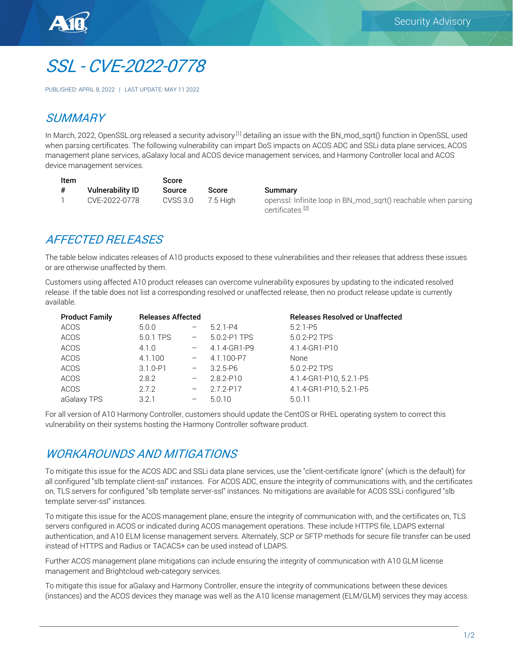

# SSL - CVE-2022-0778

PUBLISHED: APRIL 8, 2022 | LAST UPDATE: MAY 11 2022

### **SUMMARY**

In March, 2022, OpenSSL.org released a security advisory <sup>[1]</sup> detailing an issue with the BN\_mod\_sgrt() function in OpenSSL used when parsing certificates. The following vulnerability can impart DoS impacts on ACOS ADC and SSLi data plane services, ACOS management plane services, aGalaxy local and ACOS device management services, and Harmony Controller local and ACOS device management services.

| Item |                         | Score    |            |  |
|------|-------------------------|----------|------------|--|
| #    | <b>Vulnerability ID</b> | Source   | Score      |  |
|      | CVE-2022-0778           | CVSS 3.0 | $7.5$ High |  |

Summary

openssl: Infinite loop in BN\_mod\_sqrt() reachable when parsing certificates [2]

# AFFECTED RELEASES

The table below indicates releases of A10 products exposed to these vulnerabilities and their releases that address these issues or are otherwise unaffected by them.

Customers using affected A10 product releases can overcome vulnerability exposures by updating to the indicated resolved release. If the table does not list a corresponding resolved or unaffected release, then no product release update is currently available.

| <b>Product Family</b> | <b>Releases Affected</b> |                   |               | <b>Releases Resolved or Unaffected</b> |  |
|-----------------------|--------------------------|-------------------|---------------|----------------------------------------|--|
| <b>ACOS</b>           | 5.0.0                    |                   | $5.2.1 - P4$  | $5.2.1 - P5$                           |  |
| <b>ACOS</b>           | 5.0.1 TPS                | $\qquad \qquad -$ | 5.0.2-P1 TPS  | 5.0.2-P2 TPS                           |  |
| <b>ACOS</b>           | 4.1.0                    |                   | 4.1.4-GR1-P9  | 4.1.4-GR1-P10                          |  |
| <b>ACOS</b>           | 4.1.100                  |                   | 4.1.100-P7    | <b>None</b>                            |  |
| <b>ACOS</b>           | $3.1.0 - P1$             |                   | $3.2.5 - P6$  | 5.0.2-P2 TPS                           |  |
| <b>ACOS</b>           | 2.8.2                    |                   | $2.8.2 - P10$ | 4.1.4-GR1-P10, 5.2.1-P5                |  |
| <b>ACOS</b>           | 2.7.2                    |                   | 2.7.2-P17     | 4.1.4-GR1-P10.5.2.1-P5                 |  |
| aGalaxy TPS           | 3.2.1                    | $-$               | 5.0.10        | 5.0.11                                 |  |

For all version of A10 Harmony Controller, customers should update the CentOS or RHEL operating system to correct this vulnerability on their systems hosting the Harmony Controller software product.

#### WORKAROUNDS AND MITIGATIONS

To mitigate this issue for the ACOS ADC and SSLi data plane services, use the "client-certificate Ignore" (which is the default) for all configured "slb template client-ssl" instances. For ACOS ADC, ensure the integrity of communications with, and the certificates on, TLS servers for configured "slb template server-ssl" instances. No mitigations are available for ACOS SSLi configured "slb template server-ssl" instances.

To mitigate this issue for the ACOS management plane, ensure the integrity of communication with, and the certificates on, TLS servers configured in ACOS or indicated during ACOS management operations. These include HTTPS file, LDAPS external authentication, and A10 ELM license management servers. Alternately, SCP or SFTP methods for secure file transfer can be used instead of HTTPS and Radius or TACACS+ can be used instead of LDAPS.

Further ACOS management plane mitigations can include ensuring the integrity of communication with A10 GLM license management and Brightcloud web-category services.

To mitigate this issue for aGalaxy and Harmony Controller, ensure the integrity of communications between these devices (instances) and the ACOS devices they manage was well as the A10 license management (ELM/GLM) services they may access.